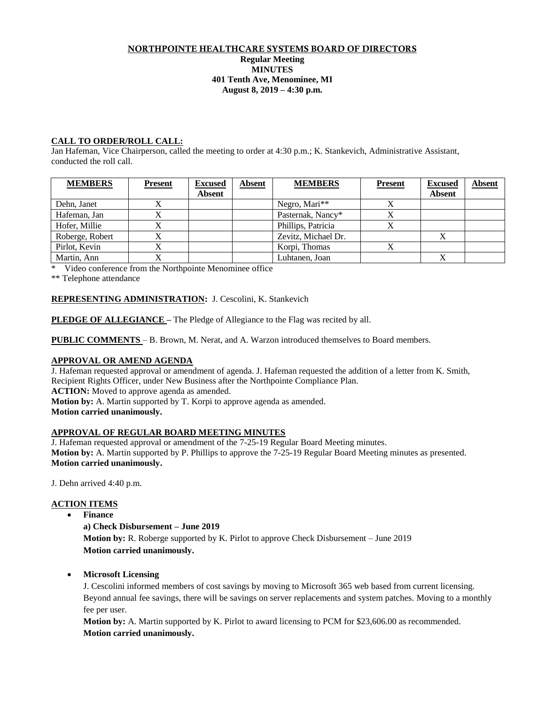#### NORTHPOINTE HEALTHCARE SYSTEMS BOARD OF DIRECTORS **Regular Meeting MINUTES 401 Tenth Ave, Menominee, MI August 8, 2019 – 4:30 p.m.**

## **CALL TO ORDER/ROLL CALL:**

Jan Hafeman, Vice Chairperson, called the meeting to order at 4:30 p.m.; K. Stankevich, Administrative Assistant, conducted the roll call.

| <b>MEMBERS</b>  | <b>Present</b> | <b>Excused</b><br><b>Absent</b> | <b>Absent</b> | <b>MEMBERS</b>      | <b>Present</b> | <b>Excused</b><br><b>Absent</b> | <b>Absent</b> |
|-----------------|----------------|---------------------------------|---------------|---------------------|----------------|---------------------------------|---------------|
| Dehn, Janet     |                |                                 |               | Negro, Mari**       |                |                                 |               |
| Hafeman, Jan    |                |                                 |               | Pasternak, Nancy*   |                |                                 |               |
| Hofer, Millie   |                |                                 |               | Phillips, Patricia  |                |                                 |               |
| Roberge, Robert |                |                                 |               | Zevitz, Michael Dr. |                |                                 |               |
| Pirlot, Kevin   |                |                                 |               | Korpi, Thomas       |                |                                 |               |
| Martin, Ann     |                |                                 |               | Luhtanen, Joan      |                |                                 |               |

\* Video conference from the Northpointe Menominee office

\*\* Telephone attendance

## **REPRESENTING ADMINISTRATION:** J. Cescolini, K. Stankevich

**PLEDGE OF ALLEGIANCE** – The Pledge of Allegiance to the Flag was recited by all.

**PUBLIC COMMENTS** – B. Brown, M. Nerat, and A. Warzon introduced themselves to Board members.

### **APPROVAL OR AMEND AGENDA**

J. Hafeman requested approval or amendment of agenda. J. Hafeman requested the addition of a letter from K. Smith, Recipient Rights Officer, under New Business after the Northpointe Compliance Plan. **ACTION:** Moved to approve agenda as amended.

**Motion by:** A. Martin supported by T. Korpi to approve agenda as amended.

**Motion carried unanimously.**

### **APPROVAL OF REGULAR BOARD MEETING MINUTES**

J. Hafeman requested approval or amendment of the 7-25-19 Regular Board Meeting minutes. **Motion by:** A. Martin supported by P. Phillips to approve the 7-25-19 Regular Board Meeting minutes as presented. **Motion carried unanimously.**

J. Dehn arrived 4:40 p.m.

## **ACTION ITEMS**

**Finance**

### **a) Check Disbursement – June 2019**

**Motion by:** R. Roberge supported by K. Pirlot to approve Check Disbursement – June 2019 **Motion carried unanimously.**

### **Microsoft Licensing**

J. Cescolini informed members of cost savings by moving to Microsoft 365 web based from current licensing. Beyond annual fee savings, there will be savings on server replacements and system patches. Moving to a monthly fee per user.

**Motion by:** A. Martin supported by K. Pirlot to award licensing to PCM for \$23,606.00 as recommended. **Motion carried unanimously.**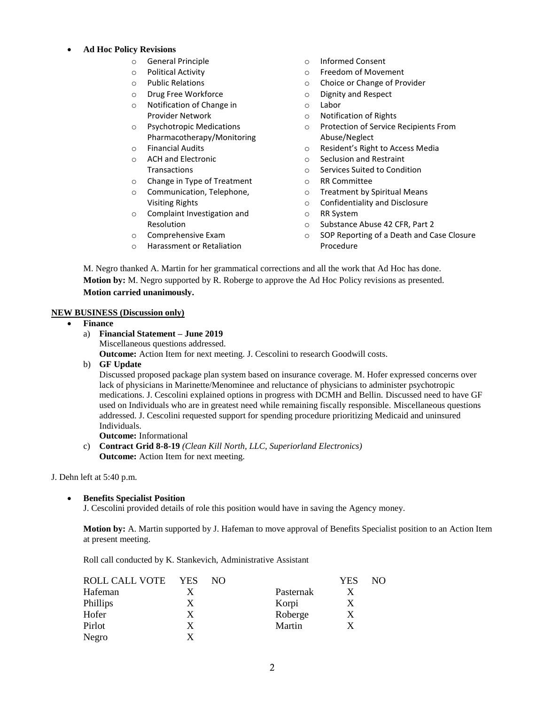#### **Ad Hoc Policy Revisions**

- o General Principle
- o Political Activity
- o Public Relations
- o Drug Free Workforce
- o Notification of Change in Provider Network
- o Psychotropic Medications Pharmacotherapy/Monitoring
- o Financial Audits
- o ACH and Electronic **Transactions**
- o Change in Type of Treatment
- o Communication, Telephone, Visiting Rights
- o Complaint Investigation and Resolution
- o Comprehensive Exam
- o Harassment or Retaliation
- o Informed Consent
- o Freedom of Movement
- o Choice or Change of Provider
- o Dignity and Respect
- o Labor
- o Notification of Rights
- o Protection of Service Recipients From Abuse/Neglect
- o Resident's Right to Access Media
- o Seclusion and Restraint
- o Services Suited to Condition
- o RR Committee
- o Treatment by Spiritual Means
- o Confidentiality and Disclosure
- o RR System
- o Substance Abuse 42 CFR, Part 2
- o SOP Reporting of a Death and Case Closure Procedure

M. Negro thanked A. Martin for her grammatical corrections and all the work that Ad Hoc has done. **Motion by:** M. Negro supported by R. Roberge to approve the Ad Hoc Policy revisions as presented. **Motion carried unanimously.**

### **NEW BUSINESS (Discussion only)**

- **Finance**
	- a) **Financial Statement – June 2019** Miscellaneous questions addressed. **Outcome:** Action Item for next meeting. J. Cescolini to research Goodwill costs.
	- b) **GF Update**

Discussed proposed package plan system based on insurance coverage. M. Hofer expressed concerns over lack of physicians in Marinette/Menominee and reluctance of physicians to administer psychotropic medications. J. Cescolini explained options in progress with DCMH and Bellin. Discussed need to have GF used on Individuals who are in greatest need while remaining fiscally responsible. Miscellaneous questions addressed. J. Cescolini requested support for spending procedure prioritizing Medicaid and uninsured Individuals.

**Outcome:** Informational

c) **Contract Grid 8-8-19** *(Clean Kill North, LLC, Superiorland Electronics)* **Outcome:** Action Item for next meeting.

J. Dehn left at 5:40 p.m.

**Benefits Specialist Position**

J. Cescolini provided details of role this position would have in saving the Agency money.

**Motion by:** A. Martin supported by J. Hafeman to move approval of Benefits Specialist position to an Action Item at present meeting.

Roll call conducted by K. Stankevich, Administrative Assistant

| ROLL CALL VOTE | <b>YES</b> | NO. |           | <b>YES</b> | NО |
|----------------|------------|-----|-----------|------------|----|
| Hafeman        |            |     | Pasternak | Х          |    |
| Phillips       | X          |     | Korpi     | X          |    |
| Hofer          | X          |     | Roberge   | Χ          |    |
| Pirlot         | X          |     | Martin    | X          |    |
| Negro          |            |     |           |            |    |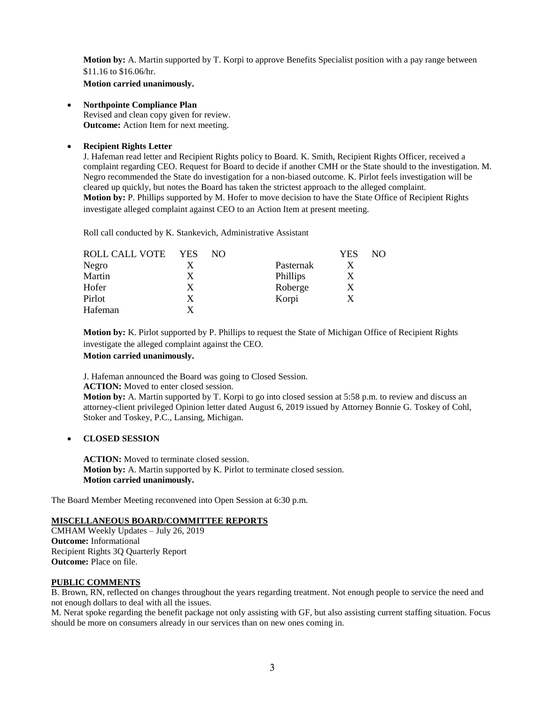**Motion by:** A. Martin supported by T. Korpi to approve Benefits Specialist position with a pay range between \$11.16 to \$16.06/hr.

**Motion carried unanimously.**

**Northpointe Compliance Plan**

Revised and clean copy given for review. **Outcome:** Action Item for next meeting.

## **Recipient Rights Letter**

J. Hafeman read letter and Recipient Rights policy to Board. K. Smith, Recipient Rights Officer, received a complaint regarding CEO. Request for Board to decide if another CMH or the State should to the investigation. M. Negro recommended the State do investigation for a non-biased outcome. K. Pirlot feels investigation will be cleared up quickly, but notes the Board has taken the strictest approach to the alleged complaint. **Motion by:** P. Phillips supported by M. Hofer to move decision to have the State Office of Recipient Rights investigate alleged complaint against CEO to an Action Item at present meeting.

Roll call conducted by K. Stankevich, Administrative Assistant

| <b>ROLL CALL VOTE</b> | <b>YES</b> | NO. |           | YES | NO |
|-----------------------|------------|-----|-----------|-----|----|
| Negro                 |            |     | Pasternak |     |    |
| Martin                | X          |     | Phillips  |     |    |
| Hofer                 | X          |     | Roberge   | X   |    |
| Pirlot                | X          |     | Korpi     |     |    |
| Hafeman               |            |     |           |     |    |

**Motion by:** K. Pirlot supported by P. Phillips to request the State of Michigan Office of Recipient Rights investigate the alleged complaint against the CEO.

#### **Motion carried unanimously.**

J. Hafeman announced the Board was going to Closed Session.

**ACTION:** Moved to enter closed session.

**Motion by:** A. Martin supported by T. Korpi to go into closed session at 5:58 p.m. to review and discuss an attorney-client privileged Opinion letter dated August 6, 2019 issued by Attorney Bonnie G. Toskey of Cohl, Stoker and Toskey, P.C., Lansing, Michigan.

### **CLOSED SESSION**

**ACTION:** Moved to terminate closed session. **Motion by:** A. Martin supported by K. Pirlot to terminate closed session. **Motion carried unanimously.**

The Board Member Meeting reconvened into Open Session at 6:30 p.m.

# **MISCELLANEOUS BOARD/COMMITTEE REPORTS**

CMHAM Weekly Updates – July 26, 2019 **Outcome:** Informational Recipient Rights 3Q Quarterly Report **Outcome:** Place on file.

### **PUBLIC COMMENTS**

B. Brown, RN, reflected on changes throughout the years regarding treatment. Not enough people to service the need and not enough dollars to deal with all the issues.

M. Nerat spoke regarding the benefit package not only assisting with GF, but also assisting current staffing situation. Focus should be more on consumers already in our services than on new ones coming in.